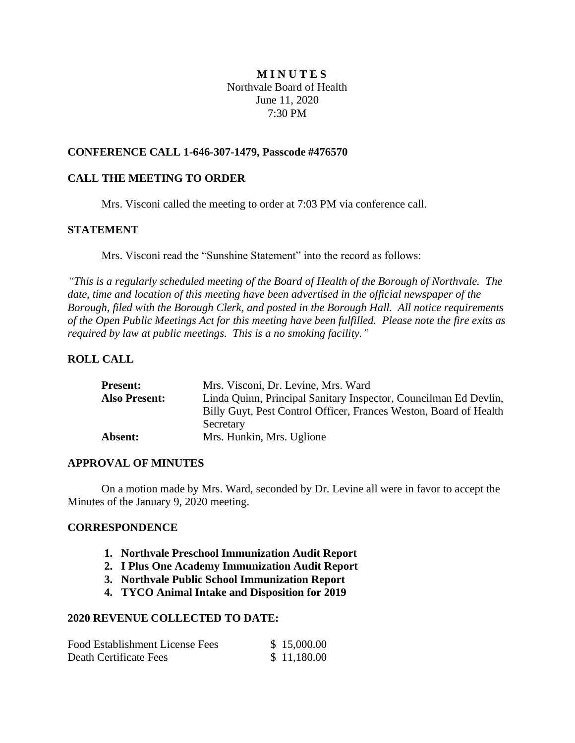# **M I N U T E S** Northvale Board of Health June 11, 2020 7:30 PM

## **CONFERENCE CALL 1-646-307-1479, Passcode #476570**

# **CALL THE MEETING TO ORDER**

Mrs. Visconi called the meeting to order at 7:03 PM via conference call.

## **STATEMENT**

Mrs. Visconi read the "Sunshine Statement" into the record as follows:

*"This is a regularly scheduled meeting of the Board of Health of the Borough of Northvale. The date, time and location of this meeting have been advertised in the official newspaper of the Borough, filed with the Borough Clerk, and posted in the Borough Hall. All notice requirements of the Open Public Meetings Act for this meeting have been fulfilled. Please note the fire exits as required by law at public meetings. This is a no smoking facility."*

## **ROLL CALL**

| <b>Present:</b>      | Mrs. Visconi, Dr. Levine, Mrs. Ward                               |
|----------------------|-------------------------------------------------------------------|
| <b>Also Present:</b> | Linda Quinn, Principal Sanitary Inspector, Councilman Ed Devlin,  |
|                      | Billy Guyt, Pest Control Officer, Frances Weston, Board of Health |
|                      | Secretary                                                         |
| <b>Absent:</b>       | Mrs. Hunkin, Mrs. Uglione                                         |

### **APPROVAL OF MINUTES**

On a motion made by Mrs. Ward, seconded by Dr. Levine all were in favor to accept the Minutes of the January 9, 2020 meeting.

### **CORRESPONDENCE**

- **1. Northvale Preschool Immunization Audit Report**
- **2. I Plus One Academy Immunization Audit Report**
- **3. Northvale Public School Immunization Report**
- **4. TYCO Animal Intake and Disposition for 2019**

## **2020 REVENUE COLLECTED TO DATE:**

| Food Establishment License Fees | \$15,000.00 |
|---------------------------------|-------------|
| Death Certificate Fees          | \$11,180.00 |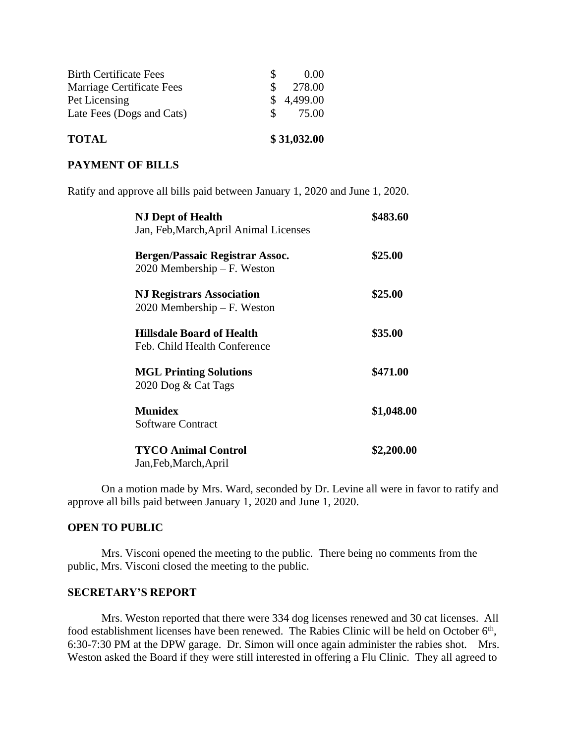| <b>TOTAL</b>                  | \$31,032.00  |            |
|-------------------------------|--------------|------------|
| Late Fees (Dogs and Cats)     | $\mathbf{S}$ | 75.00      |
| Pet Licensing                 |              | \$4,499.00 |
| Marriage Certificate Fees     | S.           | 278.00     |
| <b>Birth Certificate Fees</b> |              | (0.00)     |

## **PAYMENT OF BILLS**

Ratify and approve all bills paid between January 1, 2020 and June 1, 2020.

| <b>NJ Dept of Health</b>                                                | \$483.60   |
|-------------------------------------------------------------------------|------------|
| Jan, Feb, March, April Animal Licenses                                  |            |
| <b>Bergen/Passaic Registrar Assoc.</b><br>$2020$ Membership – F. Weston | \$25.00    |
| <b>NJ Registrars Association</b><br>$2020$ Membership – F. Weston       | \$25.00    |
| <b>Hillsdale Board of Health</b><br>Feb. Child Health Conference        | \$35.00    |
| <b>MGL Printing Solutions</b><br>2020 Dog & Cat Tags                    | \$471.00   |
| <b>Munidex</b><br><b>Software Contract</b>                              | \$1,048.00 |
| <b>TYCO Animal Control</b><br>Jan, Feb, March, April                    | \$2,200.00 |

On a motion made by Mrs. Ward, seconded by Dr. Levine all were in favor to ratify and approve all bills paid between January 1, 2020 and June 1, 2020.

### **OPEN TO PUBLIC**

Mrs. Visconi opened the meeting to the public. There being no comments from the public, Mrs. Visconi closed the meeting to the public.

### **SECRETARY'S REPORT**

Mrs. Weston reported that there were 334 dog licenses renewed and 30 cat licenses. All food establishment licenses have been renewed. The Rabies Clinic will be held on October 6<sup>th</sup>, 6:30-7:30 PM at the DPW garage. Dr. Simon will once again administer the rabies shot. Mrs. Weston asked the Board if they were still interested in offering a Flu Clinic. They all agreed to